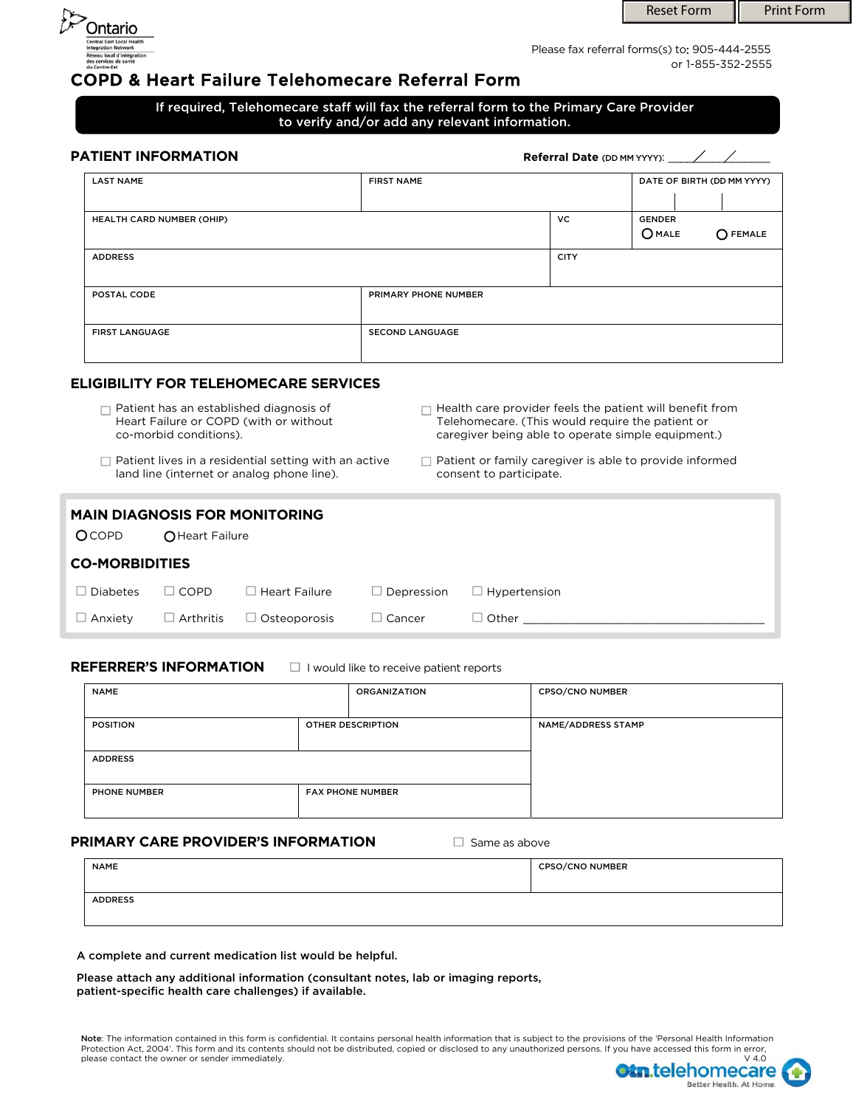

or 1-855-352-2555 Please fax referral forms(s) to: 905-444-2555

# COPD & Heart Failure Telehomecare Referral Form

## If required, Telehomecare staff will fax the referral form to the Primary Care Provider to verify and/or add any relevant information.

| PATIENT INFORMATION       |                             |             |                                               |  |  |  |  |
|---------------------------|-----------------------------|-------------|-----------------------------------------------|--|--|--|--|
| <b>LAST NAME</b>          | <b>FIRST NAME</b>           |             | DATE OF BIRTH (DD MM YYYY)                    |  |  |  |  |
| HEALTH CARD NUMBER (OHIP) |                             | <b>VC</b>   | <b>GENDER</b><br>$O$ MALE<br>$\bigcap$ FEMALE |  |  |  |  |
| <b>ADDRESS</b>            |                             | <b>CITY</b> |                                               |  |  |  |  |
| POSTAL CODE               | <b>PRIMARY PHONE NUMBER</b> |             |                                               |  |  |  |  |
| <b>FIRST LANGUAGE</b>     | <b>SECOND LANGUAGE</b>      |             |                                               |  |  |  |  |

## **ELIGIBILITY FOR TELEHOMECARE SERVICES**

- $\Box$  Patient has an established diagnosis of Heart Failure or COPD (with or without co-morbid conditions).
- $\Box$  Patient lives in a residential setting with an active land line (internet or analog phone line).
- $\Box$  Health care provider feels the patient will benefit from Telehomecare. (This would require the patient or caregiver being able to operate simple equipment.)
- $\Box$  Patient or family caregiver is able to provide informed consent to participate.

| <b>MAIN DIAGNOSIS FOR MONITORING</b> |                  |                      |                 |                     |  |  |  |  |
|--------------------------------------|------------------|----------------------|-----------------|---------------------|--|--|--|--|
| <b>OCOPD</b>                         | O Heart Failure  |                      |                 |                     |  |  |  |  |
| <b>CO-MORBIDITIES</b>                |                  |                      |                 |                     |  |  |  |  |
| <b>Diabetes</b>                      | $\Box$ COPD      | $\Box$ Heart Failure | Depression<br>ப | $\Box$ Hypertension |  |  |  |  |
| Anxiety                              | $\Box$ Arthritis | $\Box$ Osteoporosis  | $\Box$ Cancer   | $\Box$ Other        |  |  |  |  |

#### **REFERRER'S INFORMATION**  $\Box$  I would like to receive patient reports

| <b>NAME</b>         |  | <b>ORGANIZATION</b>      | <b>CPSO/CNO NUMBER</b> |  |  |
|---------------------|--|--------------------------|------------------------|--|--|
| <b>POSITION</b>     |  | <b>OTHER DESCRIPTION</b> | NAME/ADDRESS STAMP     |  |  |
| <b>ADDRESS</b>      |  |                          |                        |  |  |
| <b>PHONE NUMBER</b> |  | <b>FAX PHONE NUMBER</b>  |                        |  |  |

## **PRIMARY CARE PROVIDER'S INFORMATION Same as above**

| <b>NAME</b>    | <b>CPSO/CNO NUMBER</b> |
|----------------|------------------------|
| <b>ADDRESS</b> |                        |

A complete and current medication list would be helpful.

Please attach any additional information (consultant notes, lab or imaging reports, patient-specific health care challenges) if available.

**Note**: The information contained in this form is confidential. It contains personal health information that is subject to the provisions of the 'Personal Health Information<br>Protection Act, 2004'. This form and its content please contact the owner or sender immediately.